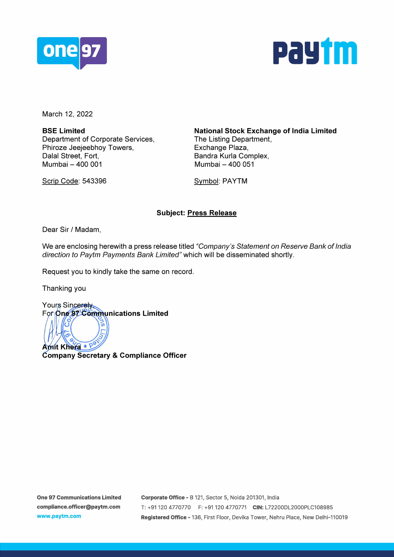



March 12, 2022

**BSE Limited**  Department of Corporate Services, Phiroze Jeejeebhoy Towers, Dalal Street, Fort, Mumbai - 400 001

Scrip Code: 543396

**National Stock Exchange of India Limited**  The Listing Department, Exchange Plaza, Sandra Kurla Complex, Mumbai - 400 051

Symbol: PAYTM

## **Subject: Press Release**

Dear Sir/ Madam,

We are enclosing herewith a press release titled "Company's Statement on Reserve Bank of India direction to Paytm Payments Bank Limited" which will be disseminated shortly.

Request you to kindly take the same on record.

Thanking you

Yours Sincerely For One 97 Communications Limited

7s ွ × Aprit Khera  $\star$  P

**Company Secretary & Compliance Officer**